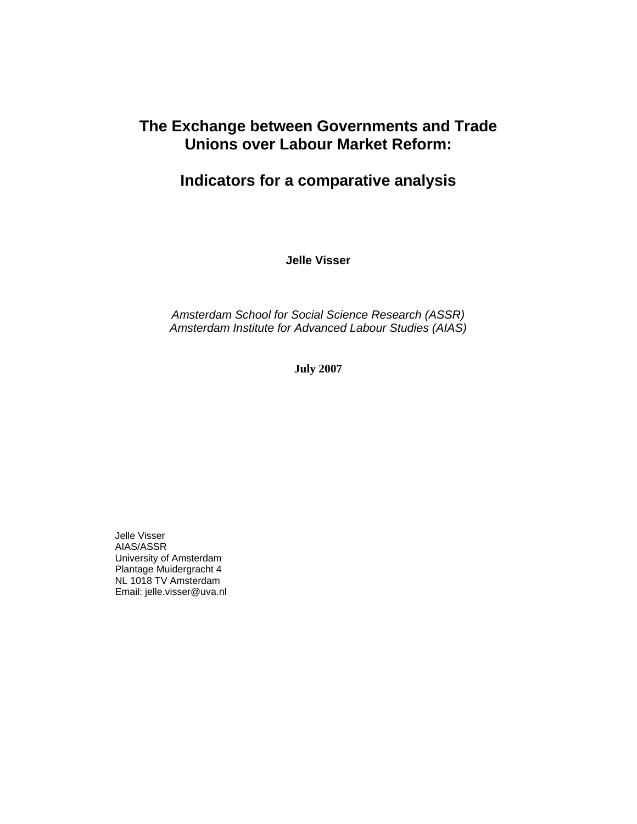## **The Exchange between Governments and Trade Unions over Labour Market Reform:**

# **Indicators for a comparative analysis**

**Jelle Visser** 

*Amsterdam School for Social Science Research (ASSR) Amsterdam Institute for Advanced Labour Studies (AIAS)* 

**July 2007** 

Jelle Visser AIAS/ASSR University of Amsterdam Plantage Muidergracht 4 NL 1018 TV Amsterdam Email: jelle.visser@uva.nl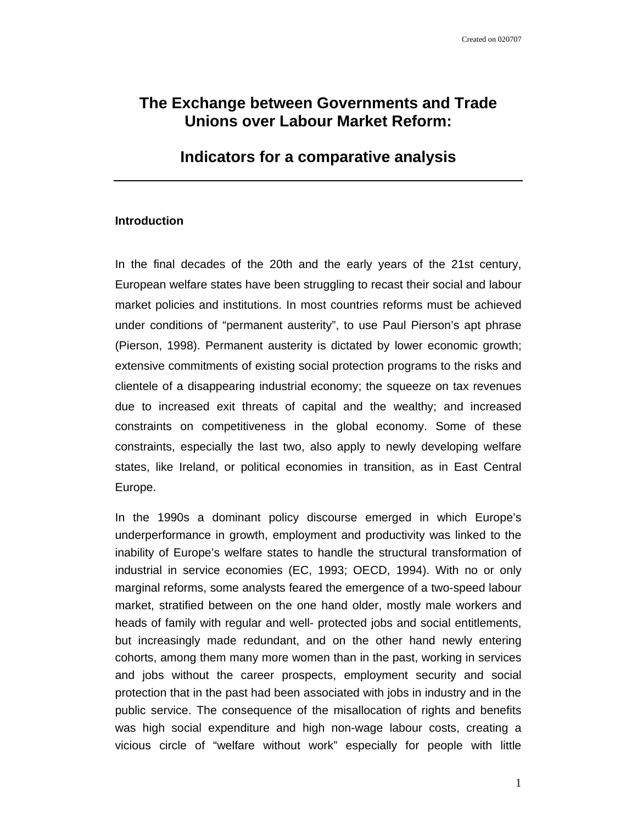## **The Exchange between Governments and Trade Unions over Labour Market Reform:**

## **Indicators for a comparative analysis**

## **Introduction**

In the final decades of the 20th and the early years of the 21st century, European welfare states have been struggling to recast their social and labour market policies and institutions. In most countries reforms must be achieved under conditions of "permanent austerity", to use Paul Pierson's apt phrase (Pierson, 1998). Permanent austerity is dictated by lower economic growth; extensive commitments of existing social protection programs to the risks and clientele of a disappearing industrial economy; the squeeze on tax revenues due to increased exit threats of capital and the wealthy; and increased constraints on competitiveness in the global economy. Some of these constraints, especially the last two, also apply to newly developing welfare states, like Ireland, or political economies in transition, as in East Central Europe.

In the 1990s a dominant policy discourse emerged in which Europe's underperformance in growth, employment and productivity was linked to the inability of Europe's welfare states to handle the structural transformation of industrial in service economies (EC, 1993; OECD, 1994). With no or only marginal reforms, some analysts feared the emergence of a two-speed labour market, stratified between on the one hand older, mostly male workers and heads of family with regular and well- protected jobs and social entitlements, but increasingly made redundant, and on the other hand newly entering cohorts, among them many more women than in the past, working in services and jobs without the career prospects, employment security and social protection that in the past had been associated with jobs in industry and in the public service. The consequence of the misallocation of rights and benefits was high social expenditure and high non-wage labour costs, creating a vicious circle of "welfare without work" especially for people with little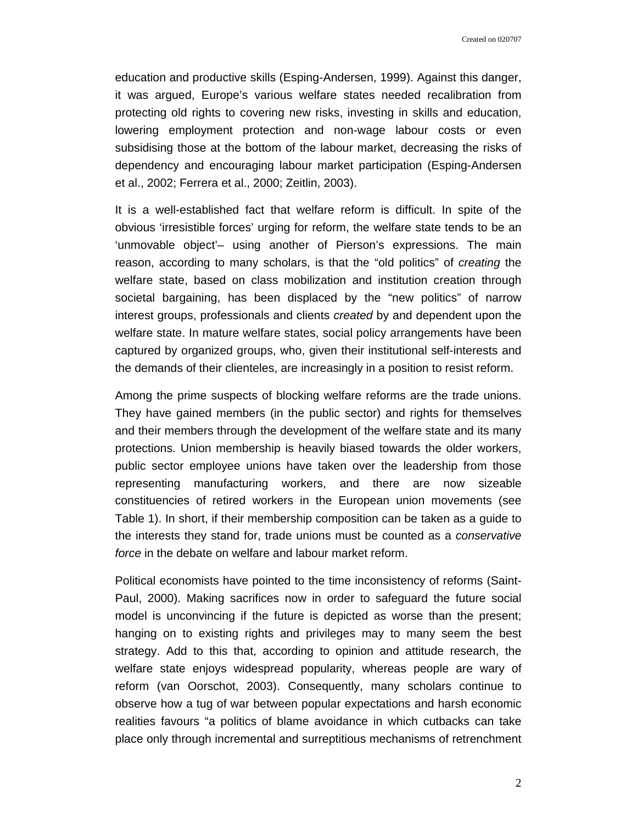education and productive skills (Esping-Andersen, 1999). Against this danger, it was argued, Europe's various welfare states needed recalibration from protecting old rights to covering new risks, investing in skills and education, lowering employment protection and non-wage labour costs or even subsidising those at the bottom of the labour market, decreasing the risks of dependency and encouraging labour market participation (Esping-Andersen et al., 2002; Ferrera et al., 2000; Zeitlin, 2003).

It is a well-established fact that welfare reform is difficult. In spite of the obvious 'irresistible forces' urging for reform, the welfare state tends to be an 'unmovable object'– using another of Pierson's expressions. The main reason, according to many scholars, is that the "old politics" of *creating* the welfare state, based on class mobilization and institution creation through societal bargaining, has been displaced by the "new politics" of narrow interest groups, professionals and clients *created* by and dependent upon the welfare state. In mature welfare states, social policy arrangements have been captured by organized groups, who, given their institutional self-interests and the demands of their clienteles, are increasingly in a position to resist reform.

Among the prime suspects of blocking welfare reforms are the trade unions. They have gained members (in the public sector) and rights for themselves and their members through the development of the welfare state and its many protections. Union membership is heavily biased towards the older workers, public sector employee unions have taken over the leadership from those representing manufacturing workers, and there are now sizeable constituencies of retired workers in the European union movements (see Table 1). In short, if their membership composition can be taken as a guide to the interests they stand for, trade unions must be counted as a *conservative force* in the debate on welfare and labour market reform.

Political economists have pointed to the time inconsistency of reforms (Saint-Paul, 2000). Making sacrifices now in order to safeguard the future social model is unconvincing if the future is depicted as worse than the present; hanging on to existing rights and privileges may to many seem the best strategy. Add to this that, according to opinion and attitude research, the welfare state enjoys widespread popularity, whereas people are wary of reform (van Oorschot, 2003). Consequently, many scholars continue to observe how a tug of war between popular expectations and harsh economic realities favours "a politics of blame avoidance in which cutbacks can take place only through incremental and surreptitious mechanisms of retrenchment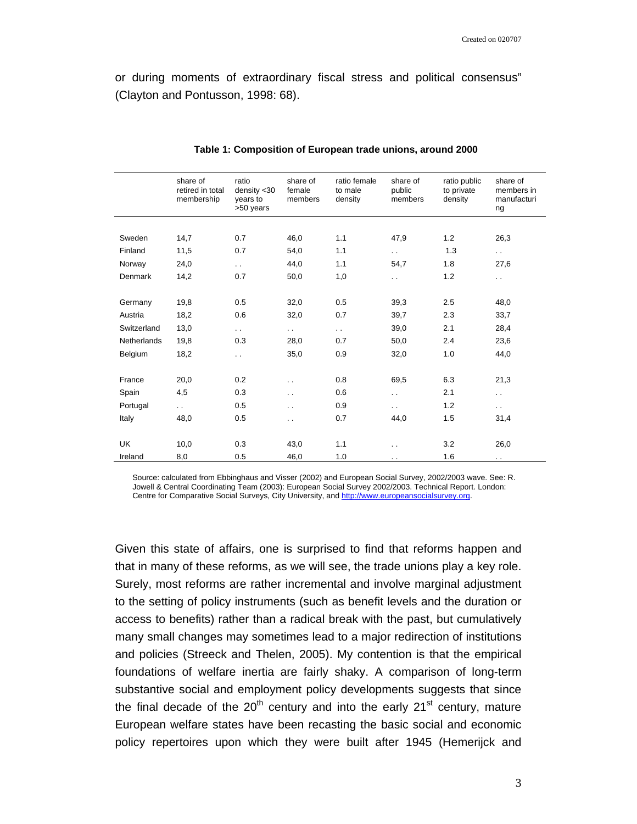or during moments of extraordinary fiscal stress and political consensus" (Clayton and Pontusson, 1998: 68).

|             | share of<br>retired in total<br>membership | ratio<br>density < 30<br>years to<br>>50 years | share of<br>female<br>members | ratio female<br>to male<br>density | share of<br>public<br>members | ratio public<br>to private<br>density | share of<br>members in<br>manufacturi<br>ng |
|-------------|--------------------------------------------|------------------------------------------------|-------------------------------|------------------------------------|-------------------------------|---------------------------------------|---------------------------------------------|
|             |                                            |                                                |                               |                                    |                               |                                       |                                             |
| Sweden      | 14,7                                       | 0.7                                            | 46,0                          | 1.1                                | 47,9                          | 1.2                                   | 26,3                                        |
| Finland     | 11,5                                       | 0.7                                            | 54,0                          | 1.1                                | $\ddotsc$                     | 1.3                                   | $\sim$                                      |
| Norway      | 24,0                                       | $\ddot{\phantom{0}}$                           | 44,0                          | 1.1                                | 54,7                          | 1.8                                   | 27,6                                        |
| Denmark     | 14,2                                       | 0.7                                            | 50,0                          | 1,0                                | $\ddotsc$                     | 1.2                                   | $\ddotsc$                                   |
|             |                                            |                                                |                               |                                    |                               |                                       |                                             |
| Germany     | 19,8                                       | 0.5                                            | 32,0                          | 0.5                                | 39,3                          | 2.5                                   | 48,0                                        |
| Austria     | 18,2                                       | 0.6                                            | 32,0                          | 0.7                                | 39,7                          | 2.3                                   | 33,7                                        |
| Switzerland | 13,0                                       | $\ddotsc$                                      | $\ddot{\phantom{0}}$          | $\sim$ $\sim$                      | 39,0                          | 2.1                                   | 28,4                                        |
| Netherlands | 19,8                                       | 0.3                                            | 28,0                          | 0.7                                | 50,0                          | 2.4                                   | 23,6                                        |
| Belgium     | 18,2                                       | $\ddot{\phantom{0}}$                           | 35,0                          | 0.9                                | 32,0                          | 1.0                                   | 44,0                                        |
|             |                                            |                                                |                               |                                    |                               |                                       |                                             |
| France      | 20,0                                       | 0.2                                            | $\ddot{\phantom{0}}$          | 0.8                                | 69,5                          | 6.3                                   | 21,3                                        |
| Spain       | 4,5                                        | 0.3                                            | $\ddot{\phantom{0}}$          | 0.6                                | $\ddot{\phantom{0}}$          | 2.1                                   | $\ddot{\phantom{1}}$ .                      |
| Portugal    | $\ddot{\phantom{a}}$ .                     | 0.5                                            | $\ddot{\phantom{0}}$          | 0.9                                | $\ddotsc$                     | 1.2                                   | $\ddotsc$                                   |
| Italy       | 48,0                                       | 0.5                                            | $\ddot{\phantom{0}}$          | 0.7                                | 44,0                          | 1.5                                   | 31,4                                        |
|             |                                            |                                                |                               |                                    |                               |                                       |                                             |
| <b>UK</b>   | 10,0                                       | 0.3                                            | 43,0                          | 1.1                                | $\ddot{\phantom{0}}$          | 3.2                                   | 26,0                                        |
| Ireland     | 8,0                                        | 0.5                                            | 46,0                          | 1.0                                | $\sim$ $\sim$                 | 1.6                                   | . .                                         |

#### **Table 1: Composition of European trade unions, around 2000**

Source: calculated from Ebbinghaus and Visser (2002) and European Social Survey, 2002/2003 wave. See: R. Jowell & Central Coordinating Team (2003): European Social Survey 2002/2003. Technical Report. London: Centre for Comparative Social Surveys, City University, and http://www.europeansocialsurvey.org.

Given this state of affairs, one is surprised to find that reforms happen and that in many of these reforms, as we will see, the trade unions play a key role. Surely, most reforms are rather incremental and involve marginal adjustment to the setting of policy instruments (such as benefit levels and the duration or access to benefits) rather than a radical break with the past, but cumulatively many small changes may sometimes lead to a major redirection of institutions and policies (Streeck and Thelen, 2005). My contention is that the empirical foundations of welfare inertia are fairly shaky. A comparison of long-term substantive social and employment policy developments suggests that since the final decade of the  $20<sup>th</sup>$  century and into the early  $21<sup>st</sup>$  century, mature European welfare states have been recasting the basic social and economic policy repertoires upon which they were built after 1945 (Hemerijck and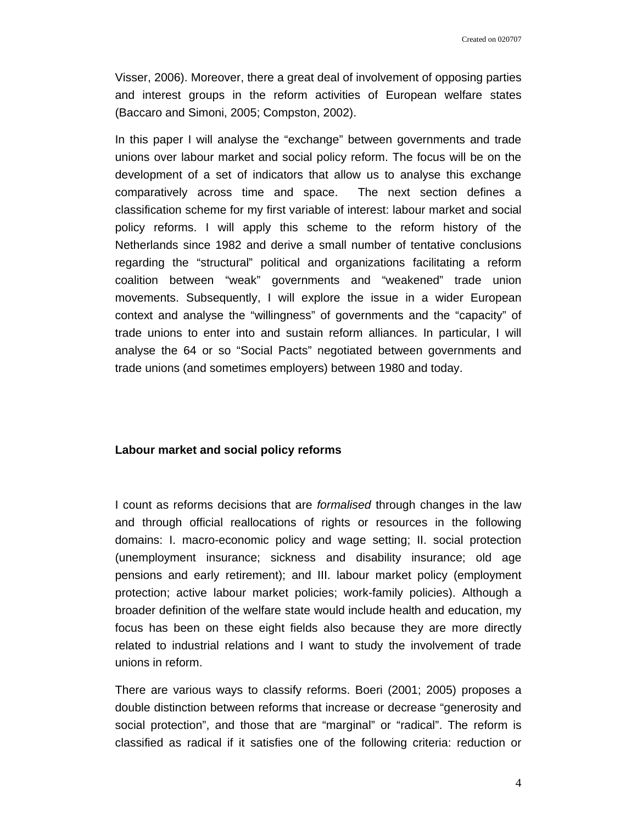Visser, 2006). Moreover, there a great deal of involvement of opposing parties and interest groups in the reform activities of European welfare states (Baccaro and Simoni, 2005; Compston, 2002).

In this paper I will analyse the "exchange" between governments and trade unions over labour market and social policy reform. The focus will be on the development of a set of indicators that allow us to analyse this exchange comparatively across time and space. The next section defines a classification scheme for my first variable of interest: labour market and social policy reforms. I will apply this scheme to the reform history of the Netherlands since 1982 and derive a small number of tentative conclusions regarding the "structural" political and organizations facilitating a reform coalition between "weak" governments and "weakened" trade union movements. Subsequently, I will explore the issue in a wider European context and analyse the "willingness" of governments and the "capacity" of trade unions to enter into and sustain reform alliances. In particular, I will analyse the 64 or so "Social Pacts" negotiated between governments and trade unions (and sometimes employers) between 1980 and today.

## **Labour market and social policy reforms**

I count as reforms decisions that are *formalised* through changes in the law and through official reallocations of rights or resources in the following domains: I. macro-economic policy and wage setting; II. social protection (unemployment insurance; sickness and disability insurance; old age pensions and early retirement); and III. labour market policy (employment protection; active labour market policies; work-family policies). Although a broader definition of the welfare state would include health and education, my focus has been on these eight fields also because they are more directly related to industrial relations and I want to study the involvement of trade unions in reform.

There are various ways to classify reforms. Boeri (2001; 2005) proposes a double distinction between reforms that increase or decrease "generosity and social protection", and those that are "marginal" or "radical". The reform is classified as radical if it satisfies one of the following criteria: reduction or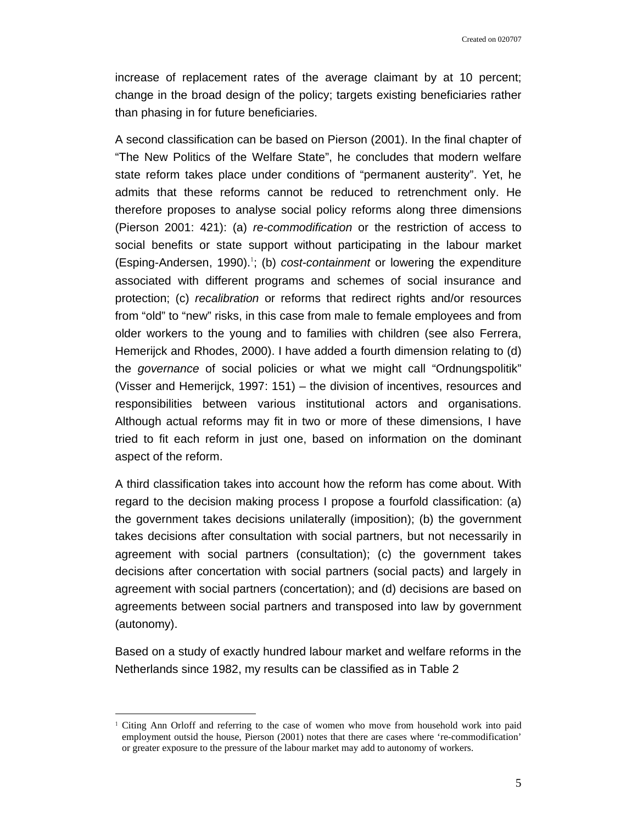increase of replacement rates of the average claimant by at 10 percent; change in the broad design of the policy; targets existing beneficiaries rather than phasing in for future beneficiaries.

A second classification can be based on Pierson (2001). In the final chapter of "The New Politics of the Welfare State", he concludes that modern welfare state reform takes place under conditions of "permanent austerity". Yet, he admits that these reforms cannot be reduced to retrenchment only. He therefore proposes to analyse social policy reforms along three dimensions (Pierson 2001: 421): (a) *re-commodification* or the restriction of access to social benefits or state support without participating in the labour market (Esping-Andersen, 1990).<sup>1</sup>; (b) *cost-containment* or lowering the expenditure associated with different programs and schemes of social insurance and protection; (c) *recalibration* or reforms that redirect rights and/or resources from "old" to "new" risks, in this case from male to female employees and from older workers to the young and to families with children (see also Ferrera, Hemerijck and Rhodes, 2000). I have added a fourth dimension relating to (d) the *governance* of social policies or what we might call "Ordnungspolitik" (Visser and Hemerijck, 1997: 151) – the division of incentives, resources and responsibilities between various institutional actors and organisations. Although actual reforms may fit in two or more of these dimensions, I have tried to fit each reform in just one, based on information on the dominant aspect of the reform.

A third classification takes into account how the reform has come about. With regard to the decision making process I propose a fourfold classification: (a) the government takes decisions unilaterally (imposition); (b) the government takes decisions after consultation with social partners, but not necessarily in agreement with social partners (consultation); (c) the government takes decisions after concertation with social partners (social pacts) and largely in agreement with social partners (concertation); and (d) decisions are based on agreements between social partners and transposed into law by government (autonomy).

Based on a study of exactly hundred labour market and welfare reforms in the Netherlands since 1982, my results can be classified as in Table 2

 $\overline{\phantom{a}}$ 

<sup>1</sup> Citing Ann Orloff and referring to the case of women who move from household work into paid employment outsid the house, Pierson (2001) notes that there are cases where 're-commodification' or greater exposure to the pressure of the labour market may add to autonomy of workers.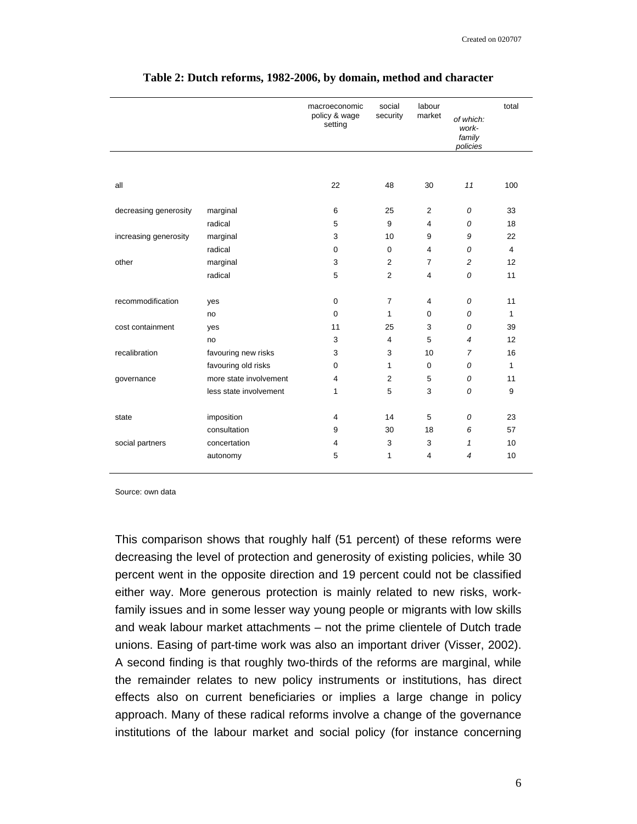|                       |                        | macroeconomic<br>policy & wage<br>setting | social<br>security | labour<br>market | of which:<br>work-<br>family<br>policies | total          |
|-----------------------|------------------------|-------------------------------------------|--------------------|------------------|------------------------------------------|----------------|
|                       |                        |                                           |                    |                  |                                          |                |
| all                   |                        | 22                                        | 48                 | 30               | 11                                       | 100            |
| decreasing generosity | marginal               | 6                                         | 25                 | 2                | 0                                        | 33             |
|                       | radical                | 5                                         | 9                  | $\overline{4}$   | 0                                        | 18             |
| increasing generosity | marginal               | 3                                         | 10                 | 9                | 9                                        | 22             |
|                       | radical                | $\mathbf 0$                               | $\mathbf 0$        | $\overline{4}$   | 0                                        | $\overline{4}$ |
| other                 | marginal               | 3                                         | $\overline{2}$     | $\overline{7}$   | 2                                        | 12             |
|                       | radical                | 5                                         | $\overline{2}$     | $\overline{4}$   | 0                                        | 11             |
|                       |                        |                                           |                    |                  |                                          |                |
| recommodification     | yes                    | $\mathbf 0$                               | $\overline{7}$     | $\overline{4}$   | 0                                        | 11             |
|                       | no                     | $\mathbf 0$                               | 1                  | 0                | 0                                        | $\mathbf{1}$   |
| cost containment      | yes                    | 11                                        | 25                 | 3                | 0                                        | 39             |
|                       | no                     | 3                                         | 4                  | 5                | $\overline{4}$                           | 12             |
| recalibration         | favouring new risks    | 3                                         | 3                  | 10               | $\overline{7}$                           | 16             |
|                       | favouring old risks    | $\mathbf 0$                               | 1                  | 0                | 0                                        | $\mathbf{1}$   |
| governance            | more state involvement | 4                                         | $\overline{2}$     | 5                | 0                                        | 11             |
|                       | less state involvement | 1                                         | 5                  | 3                | 0                                        | 9              |
| state                 | imposition             | 4                                         | 14                 | 5                | 0                                        | 23             |
|                       | consultation           | 9                                         | 30                 | 18               | 6                                        | 57             |
| social partners       | concertation           | 4                                         | 3                  | 3                | $\mathbf{1}$                             | 10             |
|                       | autonomy               | 5                                         | 1                  | $\overline{4}$   | $\overline{4}$                           | 10             |
|                       |                        |                                           |                    |                  |                                          |                |

#### **Table 2: Dutch reforms, 1982-2006, by domain, method and character**

Source: own data

This comparison shows that roughly half (51 percent) of these reforms were decreasing the level of protection and generosity of existing policies, while 30 percent went in the opposite direction and 19 percent could not be classified either way. More generous protection is mainly related to new risks, workfamily issues and in some lesser way young people or migrants with low skills and weak labour market attachments – not the prime clientele of Dutch trade unions. Easing of part-time work was also an important driver (Visser, 2002). A second finding is that roughly two-thirds of the reforms are marginal, while the remainder relates to new policy instruments or institutions, has direct effects also on current beneficiaries or implies a large change in policy approach. Many of these radical reforms involve a change of the governance institutions of the labour market and social policy (for instance concerning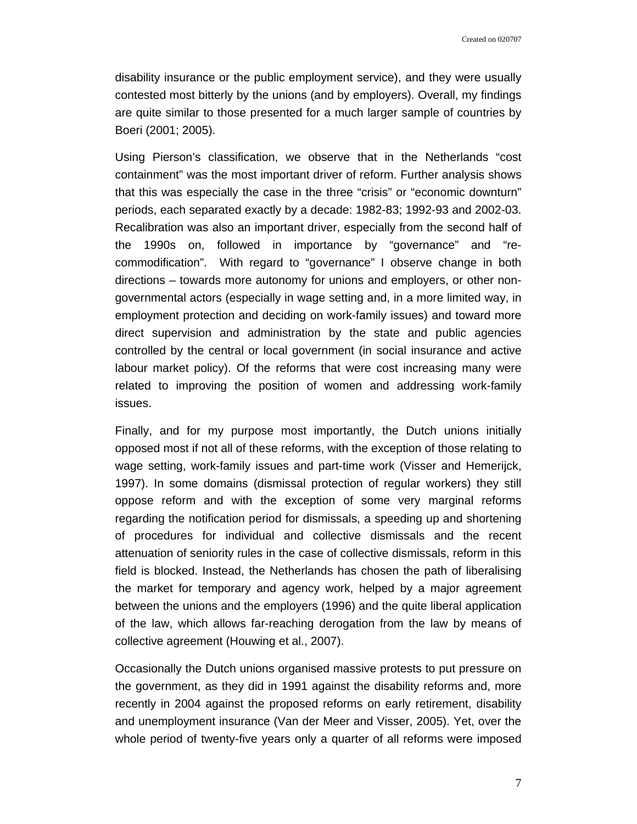disability insurance or the public employment service), and they were usually contested most bitterly by the unions (and by employers). Overall, my findings are quite similar to those presented for a much larger sample of countries by Boeri (2001; 2005).

Using Pierson's classification, we observe that in the Netherlands "cost containment" was the most important driver of reform. Further analysis shows that this was especially the case in the three "crisis" or "economic downturn" periods, each separated exactly by a decade: 1982-83; 1992-93 and 2002-03. Recalibration was also an important driver, especially from the second half of the 1990s on, followed in importance by "governance" and "recommodification". With regard to "governance" I observe change in both directions – towards more autonomy for unions and employers, or other nongovernmental actors (especially in wage setting and, in a more limited way, in employment protection and deciding on work-family issues) and toward more direct supervision and administration by the state and public agencies controlled by the central or local government (in social insurance and active labour market policy). Of the reforms that were cost increasing many were related to improving the position of women and addressing work-family issues.

Finally, and for my purpose most importantly, the Dutch unions initially opposed most if not all of these reforms, with the exception of those relating to wage setting, work-family issues and part-time work (Visser and Hemerijck, 1997). In some domains (dismissal protection of regular workers) they still oppose reform and with the exception of some very marginal reforms regarding the notification period for dismissals, a speeding up and shortening of procedures for individual and collective dismissals and the recent attenuation of seniority rules in the case of collective dismissals, reform in this field is blocked. Instead, the Netherlands has chosen the path of liberalising the market for temporary and agency work, helped by a major agreement between the unions and the employers (1996) and the quite liberal application of the law, which allows far-reaching derogation from the law by means of collective agreement (Houwing et al., 2007).

Occasionally the Dutch unions organised massive protests to put pressure on the government, as they did in 1991 against the disability reforms and, more recently in 2004 against the proposed reforms on early retirement, disability and unemployment insurance (Van der Meer and Visser, 2005). Yet, over the whole period of twenty-five years only a quarter of all reforms were imposed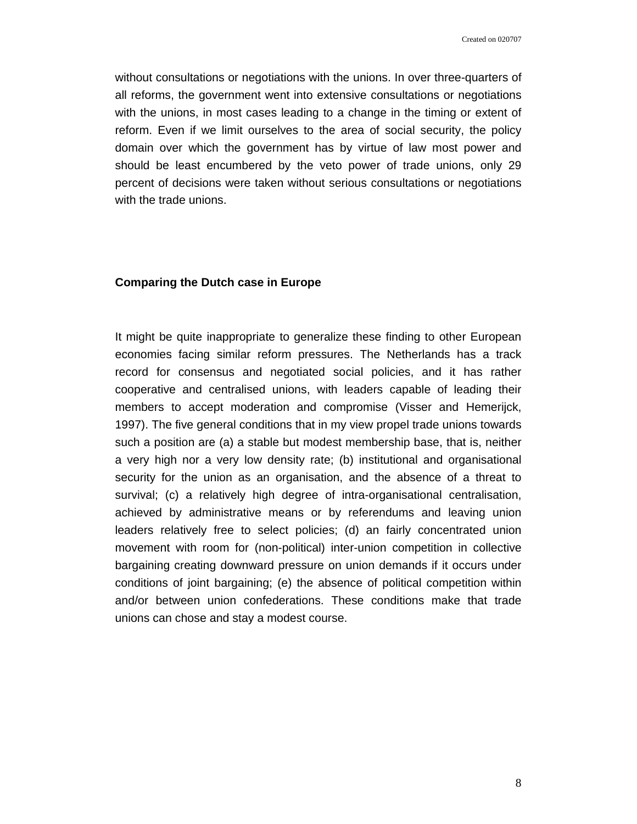without consultations or negotiations with the unions. In over three-quarters of all reforms, the government went into extensive consultations or negotiations with the unions, in most cases leading to a change in the timing or extent of reform. Even if we limit ourselves to the area of social security, the policy domain over which the government has by virtue of law most power and should be least encumbered by the veto power of trade unions, only 29 percent of decisions were taken without serious consultations or negotiations with the trade unions.

## **Comparing the Dutch case in Europe**

It might be quite inappropriate to generalize these finding to other European economies facing similar reform pressures. The Netherlands has a track record for consensus and negotiated social policies, and it has rather cooperative and centralised unions, with leaders capable of leading their members to accept moderation and compromise (Visser and Hemerijck, 1997). The five general conditions that in my view propel trade unions towards such a position are (a) a stable but modest membership base, that is, neither a very high nor a very low density rate; (b) institutional and organisational security for the union as an organisation, and the absence of a threat to survival; (c) a relatively high degree of intra-organisational centralisation, achieved by administrative means or by referendums and leaving union leaders relatively free to select policies; (d) an fairly concentrated union movement with room for (non-political) inter-union competition in collective bargaining creating downward pressure on union demands if it occurs under conditions of joint bargaining; (e) the absence of political competition within and/or between union confederations. These conditions make that trade unions can chose and stay a modest course.

8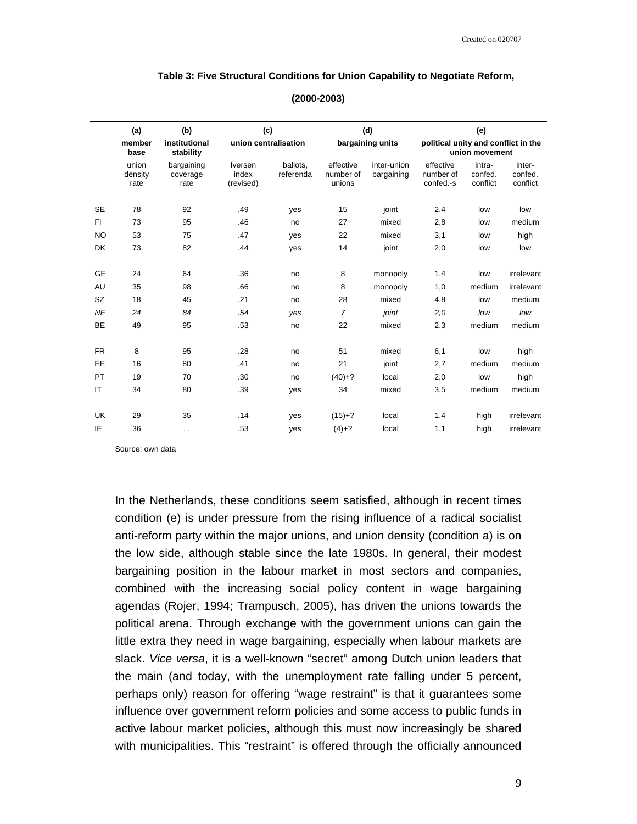#### **Table 3: Five Structural Conditions for Union Capability to Negotiate Reform,**

|           | (a)<br>(b)               |                                | (c)                           |                       | (d)                              |                           | (e)                                                   |                               |                               |
|-----------|--------------------------|--------------------------------|-------------------------------|-----------------------|----------------------------------|---------------------------|-------------------------------------------------------|-------------------------------|-------------------------------|
|           | member<br>base           | institutional<br>stability     | union centralisation          |                       | bargaining units                 |                           | political unity and conflict in the<br>union movement |                               |                               |
|           | union<br>density<br>rate | bargaining<br>coverage<br>rate | Iversen<br>index<br>(revised) | ballots.<br>referenda | effective<br>number of<br>unions | inter-union<br>bargaining | effective<br>number of<br>confed.-s                   | intra-<br>confed.<br>conflict | inter-<br>confed.<br>conflict |
|           |                          |                                |                               |                       |                                  |                           |                                                       |                               |                               |
| <b>SE</b> | 78                       | 92                             | .49                           | yes                   | 15                               | joint                     | 2,4                                                   | low                           | low                           |
| FI.       | 73                       | 95                             | .46                           | no                    | 27                               | mixed                     | 2,8                                                   | low                           | medium                        |
| <b>NO</b> | 53                       | 75                             | .47                           | yes                   | 22                               | mixed                     | 3,1                                                   | low                           | high                          |
| <b>DK</b> | 73                       | 82                             | .44                           | yes                   | 14                               | joint                     | 2,0                                                   | low                           | low                           |
| <b>GE</b> | 24                       | 64                             | .36                           | no                    | 8                                | monopoly                  | 1,4                                                   | low                           | irrelevant                    |
| AU        | 35                       | 98                             | .66                           | no                    | 8                                | monopoly                  | 1,0                                                   | medium                        | irrelevant                    |
| <b>SZ</b> | 18                       | 45                             | .21                           | no                    | 28                               | mixed                     | 4,8                                                   | low                           | medium                        |
| <b>NE</b> | 24                       | 84                             | .54                           | yes                   | $\overline{7}$                   | joint                     | 2,0                                                   | low                           | low                           |
| <b>BE</b> | 49                       | 95                             | .53                           | no                    | 22                               | mixed                     | 2,3                                                   | medium                        | medium                        |
| <b>FR</b> | 8                        | 95                             | .28                           | no                    | 51                               | mixed                     | 6,1                                                   | low                           | high                          |
| EE        | 16                       | 80                             | .41                           | no                    | 21                               | joint                     | 2,7                                                   | medium                        | medium                        |
| PT        | 19                       | 70                             | .30                           | no                    | $(40)+?$                         | local                     | 2,0                                                   | low                           | high                          |
| IT        | 34                       | 80                             | .39                           | yes                   | 34                               | mixed                     | 3,5                                                   | medium                        | medium                        |
| <b>UK</b> | 29                       | 35                             | .14                           | yes                   | $(15)+?$                         | local                     | 1,4                                                   | high                          | irrelevant                    |
| ΙE        | 36                       | $\cdot$ .                      | .53                           | ves                   | $(4)+?$                          | local                     | 1,1                                                   | high                          | irrelevant                    |

#### **(2000-2003)**

Source: own data

In the Netherlands, these conditions seem satisfied, although in recent times condition (e) is under pressure from the rising influence of a radical socialist anti-reform party within the major unions, and union density (condition a) is on the low side, although stable since the late 1980s. In general, their modest bargaining position in the labour market in most sectors and companies, combined with the increasing social policy content in wage bargaining agendas (Rojer, 1994; Trampusch, 2005), has driven the unions towards the political arena. Through exchange with the government unions can gain the little extra they need in wage bargaining, especially when labour markets are slack. *Vice versa*, it is a well-known "secret" among Dutch union leaders that the main (and today, with the unemployment rate falling under 5 percent, perhaps only) reason for offering "wage restraint" is that it guarantees some influence over government reform policies and some access to public funds in active labour market policies, although this must now increasingly be shared with municipalities. This "restraint" is offered through the officially announced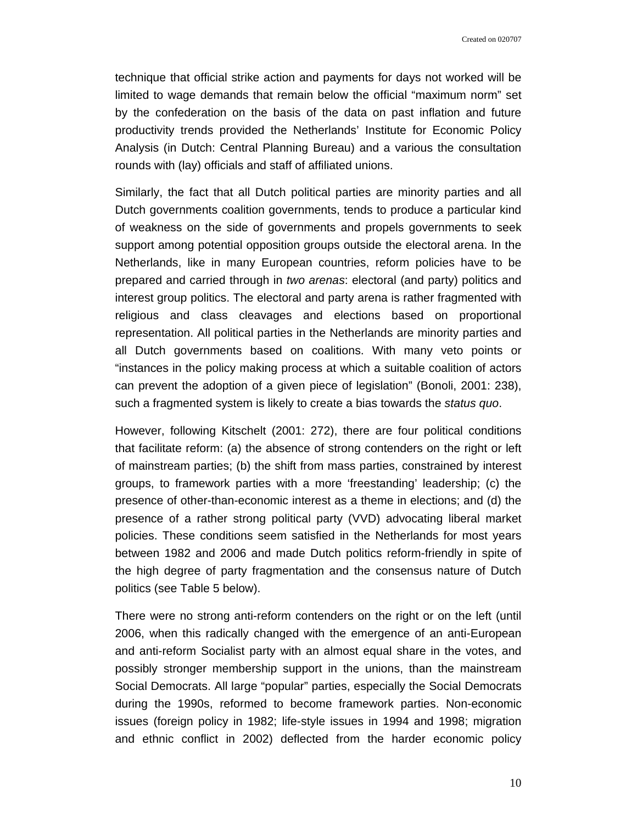technique that official strike action and payments for days not worked will be limited to wage demands that remain below the official "maximum norm" set by the confederation on the basis of the data on past inflation and future productivity trends provided the Netherlands' Institute for Economic Policy Analysis (in Dutch: Central Planning Bureau) and a various the consultation rounds with (lay) officials and staff of affiliated unions.

Similarly, the fact that all Dutch political parties are minority parties and all Dutch governments coalition governments, tends to produce a particular kind of weakness on the side of governments and propels governments to seek support among potential opposition groups outside the electoral arena. In the Netherlands, like in many European countries, reform policies have to be prepared and carried through in *two arenas*: electoral (and party) politics and interest group politics. The electoral and party arena is rather fragmented with religious and class cleavages and elections based on proportional representation. All political parties in the Netherlands are minority parties and all Dutch governments based on coalitions. With many veto points or "instances in the policy making process at which a suitable coalition of actors can prevent the adoption of a given piece of legislation" (Bonoli, 2001: 238), such a fragmented system is likely to create a bias towards the *status quo*.

However, following Kitschelt (2001: 272), there are four political conditions that facilitate reform: (a) the absence of strong contenders on the right or left of mainstream parties; (b) the shift from mass parties, constrained by interest groups, to framework parties with a more 'freestanding' leadership; (c) the presence of other-than-economic interest as a theme in elections; and (d) the presence of a rather strong political party (VVD) advocating liberal market policies. These conditions seem satisfied in the Netherlands for most years between 1982 and 2006 and made Dutch politics reform-friendly in spite of the high degree of party fragmentation and the consensus nature of Dutch politics (see Table 5 below).

There were no strong anti-reform contenders on the right or on the left (until 2006, when this radically changed with the emergence of an anti-European and anti-reform Socialist party with an almost equal share in the votes, and possibly stronger membership support in the unions, than the mainstream Social Democrats. All large "popular" parties, especially the Social Democrats during the 1990s, reformed to become framework parties. Non-economic issues (foreign policy in 1982; life-style issues in 1994 and 1998; migration and ethnic conflict in 2002) deflected from the harder economic policy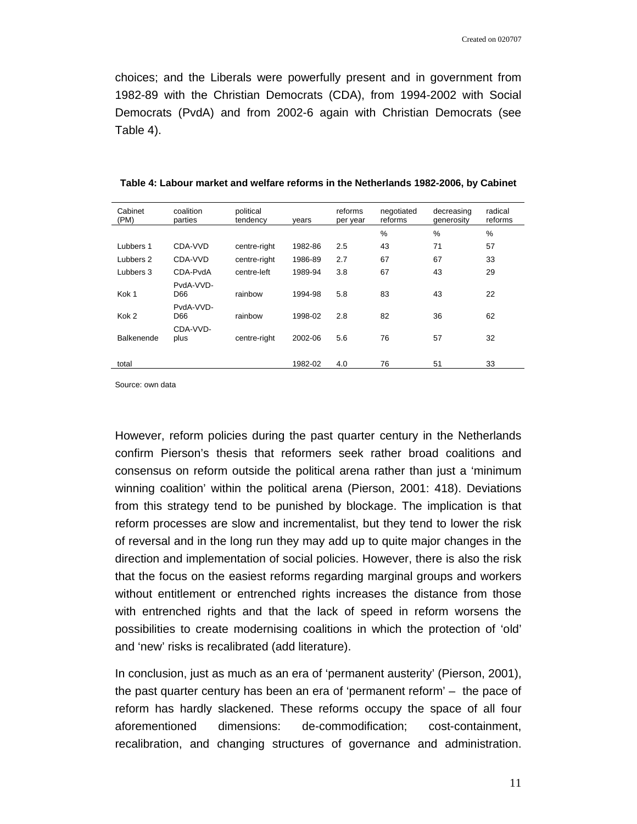choices; and the Liberals were powerfully present and in government from 1982-89 with the Christian Democrats (CDA), from 1994-2002 with Social Democrats (PvdA) and from 2002-6 again with Christian Democrats (see Table 4).

| Cabinet<br>(PM)   | coalition<br>parties | political<br>tendency | years   | reforms<br>per year | negotiated<br>reforms | decreasing<br>generosity | radical<br>reforms |
|-------------------|----------------------|-----------------------|---------|---------------------|-----------------------|--------------------------|--------------------|
|                   |                      |                       |         |                     | %                     | %                        | %                  |
| Lubbers 1         | CDA-VVD              | centre-right          | 1982-86 | 2.5                 | 43                    | 71                       | 57                 |
| Lubbers 2         | CDA-VVD              | centre-right          | 1986-89 | 2.7                 | 67                    | 67                       | 33                 |
| Lubbers 3         | CDA-PvdA             | centre-left           | 1989-94 | 3.8                 | 67                    | 43                       | 29                 |
| Kok <sub>1</sub>  | PvdA-VVD-<br>D66     | rainbow               | 1994-98 | 5.8                 | 83                    | 43                       | 22                 |
| Kok 2             | PvdA-VVD-<br>D66     | rainbow               | 1998-02 | 2.8                 | 82                    | 36                       | 62                 |
| <b>Balkenende</b> | CDA-VVD-<br>plus     | centre-right          | 2002-06 | 5.6                 | 76                    | 57                       | 32                 |
| total             |                      |                       | 1982-02 | 4.0                 | 76                    | 51                       | 33                 |

**Table 4: Labour market and welfare reforms in the Netherlands 1982-2006, by Cabinet** 

Source: own data

However, reform policies during the past quarter century in the Netherlands confirm Pierson's thesis that reformers seek rather broad coalitions and consensus on reform outside the political arena rather than just a 'minimum winning coalition' within the political arena (Pierson, 2001: 418). Deviations from this strategy tend to be punished by blockage. The implication is that reform processes are slow and incrementalist, but they tend to lower the risk of reversal and in the long run they may add up to quite major changes in the direction and implementation of social policies. However, there is also the risk that the focus on the easiest reforms regarding marginal groups and workers without entitlement or entrenched rights increases the distance from those with entrenched rights and that the lack of speed in reform worsens the possibilities to create modernising coalitions in which the protection of 'old' and 'new' risks is recalibrated (add literature).

In conclusion, just as much as an era of 'permanent austerity' (Pierson, 2001), the past quarter century has been an era of 'permanent reform' – the pace of reform has hardly slackened. These reforms occupy the space of all four aforementioned dimensions: de-commodification; cost-containment, recalibration, and changing structures of governance and administration.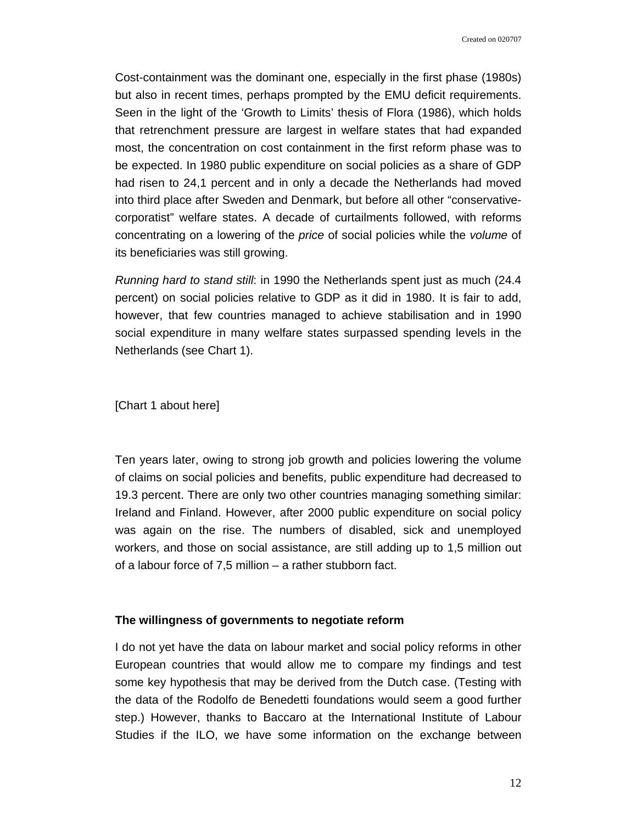Cost-containment was the dominant one, especially in the first phase (1980s) but also in recent times, perhaps prompted by the EMU deficit requirements. Seen in the light of the 'Growth to Limits' thesis of Flora (1986), which holds that retrenchment pressure are largest in welfare states that had expanded most, the concentration on cost containment in the first reform phase was to be expected. In 1980 public expenditure on social policies as a share of GDP had risen to 24,1 percent and in only a decade the Netherlands had moved into third place after Sweden and Denmark, but before all other "conservativecorporatist" welfare states. A decade of curtailments followed, with reforms concentrating on a lowering of the *price* of social policies while the *volume* of its beneficiaries was still growing.

*Running hard to stand still*: in 1990 the Netherlands spent just as much (24.4 percent) on social policies relative to GDP as it did in 1980. It is fair to add, however, that few countries managed to achieve stabilisation and in 1990 social expenditure in many welfare states surpassed spending levels in the Netherlands (see Chart 1).

## [Chart 1 about here]

Ten years later, owing to strong job growth and policies lowering the volume of claims on social policies and benefits, public expenditure had decreased to 19.3 percent. There are only two other countries managing something similar: Ireland and Finland. However, after 2000 public expenditure on social policy was again on the rise. The numbers of disabled, sick and unemployed workers, and those on social assistance, are still adding up to 1,5 million out of a labour force of 7,5 million – a rather stubborn fact.

### **The willingness of governments to negotiate reform**

I do not yet have the data on labour market and social policy reforms in other European countries that would allow me to compare my findings and test some key hypothesis that may be derived from the Dutch case. (Testing with the data of the Rodolfo de Benedetti foundations would seem a good further step.) However, thanks to Baccaro at the International Institute of Labour Studies if the ILO, we have some information on the exchange between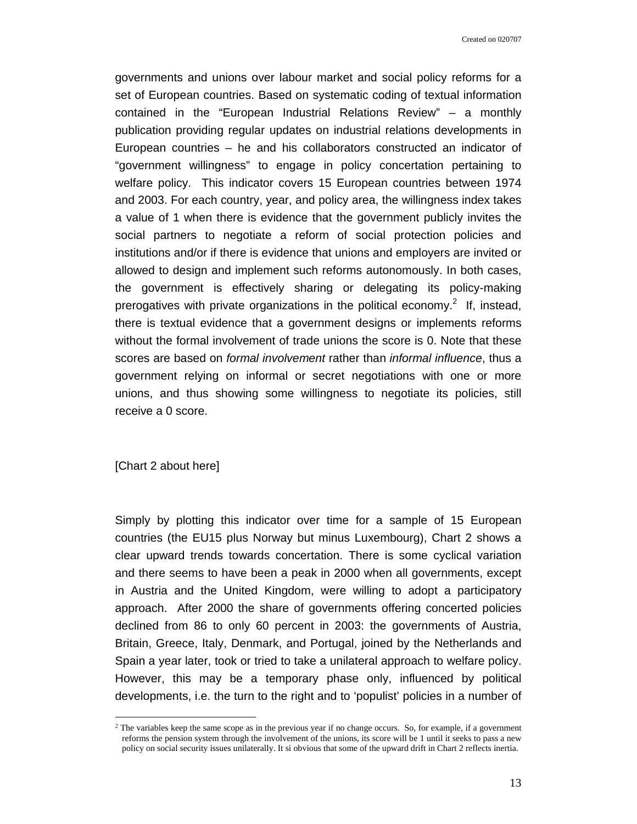governments and unions over labour market and social policy reforms for a set of European countries. Based on systematic coding of textual information contained in the "European Industrial Relations Review" – a monthly publication providing regular updates on industrial relations developments in European countries – he and his collaborators constructed an indicator of "government willingness" to engage in policy concertation pertaining to welfare policy. This indicator covers 15 European countries between 1974 and 2003. For each country, year, and policy area, the willingness index takes a value of 1 when there is evidence that the government publicly invites the social partners to negotiate a reform of social protection policies and institutions and/or if there is evidence that unions and employers are invited or allowed to design and implement such reforms autonomously. In both cases, the government is effectively sharing or delegating its policy-making prerogatives with private organizations in the political economy.<sup>2</sup> If, instead, there is textual evidence that a government designs or implements reforms without the formal involvement of trade unions the score is 0. Note that these scores are based on *formal involvement* rather than *informal influence*, thus a government relying on informal or secret negotiations with one or more unions, and thus showing some willingness to negotiate its policies, still receive a 0 score.

[Chart 2 about here]

 $\overline{\phantom{a}}$ 

Simply by plotting this indicator over time for a sample of 15 European countries (the EU15 plus Norway but minus Luxembourg), Chart 2 shows a clear upward trends towards concertation. There is some cyclical variation and there seems to have been a peak in 2000 when all governments, except in Austria and the United Kingdom, were willing to adopt a participatory approach. After 2000 the share of governments offering concerted policies declined from 86 to only 60 percent in 2003: the governments of Austria, Britain, Greece, Italy, Denmark, and Portugal, joined by the Netherlands and Spain a year later, took or tried to take a unilateral approach to welfare policy. However, this may be a temporary phase only, influenced by political developments, i.e. the turn to the right and to 'populist' policies in a number of

<sup>2</sup> The variables keep the same scope as in the previous year if no change occurs. So, for example, if a government reforms the pension system through the involvement of the unions, its score will be 1 until it seeks to pass a new policy on social security issues unilaterally. It si obvious that some of the upward drift in Chart 2 reflects inertia.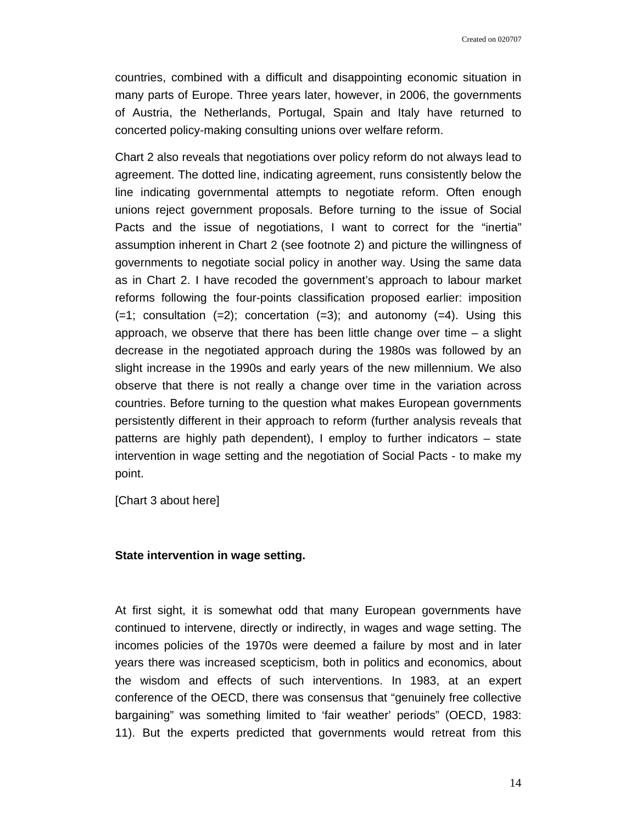countries, combined with a difficult and disappointing economic situation in many parts of Europe. Three years later, however, in 2006, the governments of Austria, the Netherlands, Portugal, Spain and Italy have returned to concerted policy-making consulting unions over welfare reform.

Chart 2 also reveals that negotiations over policy reform do not always lead to agreement. The dotted line, indicating agreement, runs consistently below the line indicating governmental attempts to negotiate reform. Often enough unions reject government proposals. Before turning to the issue of Social Pacts and the issue of negotiations, I want to correct for the "inertia" assumption inherent in Chart 2 (see footnote 2) and picture the willingness of governments to negotiate social policy in another way. Using the same data as in Chart 2. I have recoded the government's approach to labour market reforms following the four-points classification proposed earlier: imposition  $(=1;$  consultation  $(=2);$  concertation  $(=3);$  and autonomy  $(=4).$  Using this approach, we observe that there has been little change over time  $-$  a slight decrease in the negotiated approach during the 1980s was followed by an slight increase in the 1990s and early years of the new millennium. We also observe that there is not really a change over time in the variation across countries. Before turning to the question what makes European governments persistently different in their approach to reform (further analysis reveals that patterns are highly path dependent), I employ to further indicators – state intervention in wage setting and the negotiation of Social Pacts - to make my point.

[Chart 3 about here]

## **State intervention in wage setting.**

At first sight, it is somewhat odd that many European governments have continued to intervene, directly or indirectly, in wages and wage setting. The incomes policies of the 1970s were deemed a failure by most and in later years there was increased scepticism, both in politics and economics, about the wisdom and effects of such interventions. In 1983, at an expert conference of the OECD, there was consensus that "genuinely free collective bargaining" was something limited to 'fair weather' periods" (OECD, 1983: 11). But the experts predicted that governments would retreat from this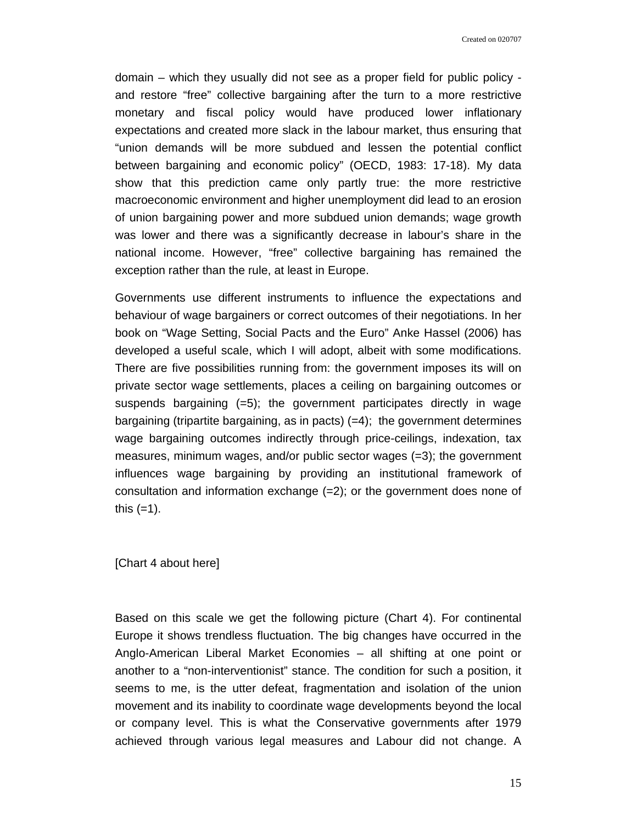Created on 020707

domain – which they usually did not see as a proper field for public policy and restore "free" collective bargaining after the turn to a more restrictive monetary and fiscal policy would have produced lower inflationary expectations and created more slack in the labour market, thus ensuring that "union demands will be more subdued and lessen the potential conflict between bargaining and economic policy" (OECD, 1983: 17-18). My data show that this prediction came only partly true: the more restrictive macroeconomic environment and higher unemployment did lead to an erosion of union bargaining power and more subdued union demands; wage growth was lower and there was a significantly decrease in labour's share in the national income. However, "free" collective bargaining has remained the exception rather than the rule, at least in Europe.

Governments use different instruments to influence the expectations and behaviour of wage bargainers or correct outcomes of their negotiations. In her book on "Wage Setting, Social Pacts and the Euro" Anke Hassel (2006) has developed a useful scale, which I will adopt, albeit with some modifications. There are five possibilities running from: the government imposes its will on private sector wage settlements, places a ceiling on bargaining outcomes or suspends bargaining  $(=5)$ ; the government participates directly in wage bargaining (tripartite bargaining, as in pacts)  $(=4)$ ; the government determines wage bargaining outcomes indirectly through price-ceilings, indexation, tax measures, minimum wages, and/or public sector wages (=3); the government influences wage bargaining by providing an institutional framework of consultation and information exchange  $(=2)$ ; or the government does none of this  $(=1)$ .

[Chart 4 about here]

Based on this scale we get the following picture (Chart 4). For continental Europe it shows trendless fluctuation. The big changes have occurred in the Anglo-American Liberal Market Economies – all shifting at one point or another to a "non-interventionist" stance. The condition for such a position, it seems to me, is the utter defeat, fragmentation and isolation of the union movement and its inability to coordinate wage developments beyond the local or company level. This is what the Conservative governments after 1979 achieved through various legal measures and Labour did not change. A

15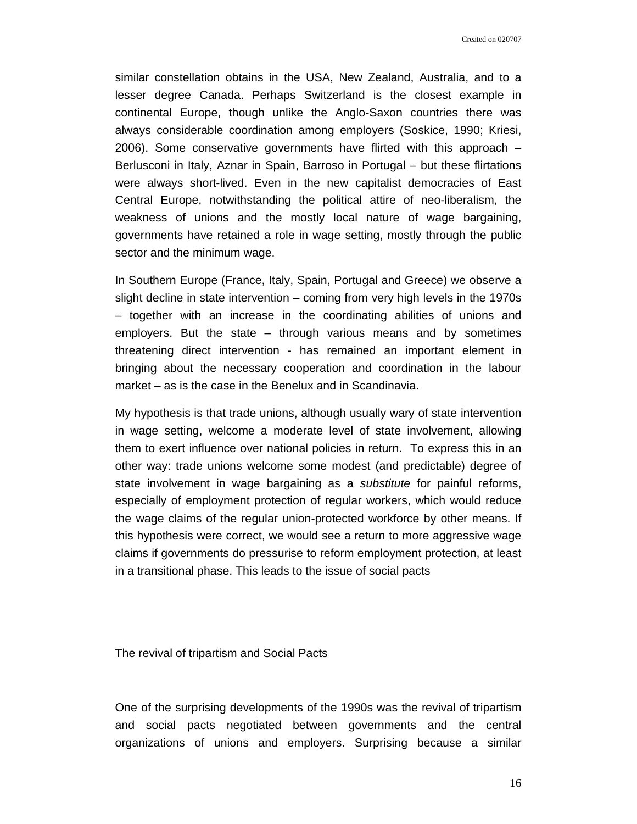Created on 020707

similar constellation obtains in the USA, New Zealand, Australia, and to a lesser degree Canada. Perhaps Switzerland is the closest example in continental Europe, though unlike the Anglo-Saxon countries there was always considerable coordination among employers (Soskice, 1990; Kriesi, 2006). Some conservative governments have flirted with this approach – Berlusconi in Italy, Aznar in Spain, Barroso in Portugal – but these flirtations were always short-lived. Even in the new capitalist democracies of East Central Europe, notwithstanding the political attire of neo-liberalism, the weakness of unions and the mostly local nature of wage bargaining, governments have retained a role in wage setting, mostly through the public sector and the minimum wage.

In Southern Europe (France, Italy, Spain, Portugal and Greece) we observe a slight decline in state intervention – coming from very high levels in the 1970s – together with an increase in the coordinating abilities of unions and employers. But the state  $-$  through various means and by sometimes threatening direct intervention - has remained an important element in bringing about the necessary cooperation and coordination in the labour market – as is the case in the Benelux and in Scandinavia.

My hypothesis is that trade unions, although usually wary of state intervention in wage setting, welcome a moderate level of state involvement, allowing them to exert influence over national policies in return. To express this in an other way: trade unions welcome some modest (and predictable) degree of state involvement in wage bargaining as a *substitute* for painful reforms, especially of employment protection of regular workers, which would reduce the wage claims of the regular union-protected workforce by other means. If this hypothesis were correct, we would see a return to more aggressive wage claims if governments do pressurise to reform employment protection, at least in a transitional phase. This leads to the issue of social pacts

The revival of tripartism and Social Pacts

One of the surprising developments of the 1990s was the revival of tripartism and social pacts negotiated between governments and the central organizations of unions and employers. Surprising because a similar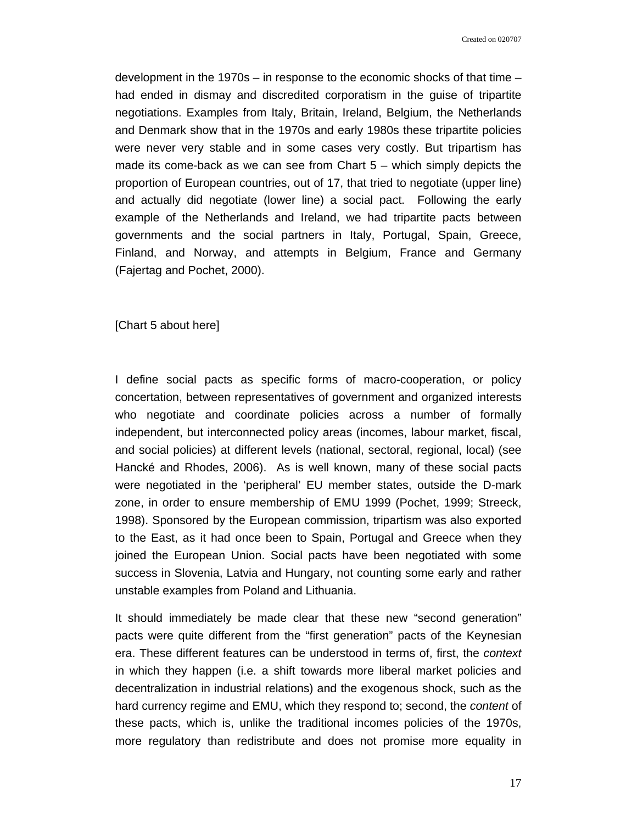development in the 1970s – in response to the economic shocks of that time – had ended in dismay and discredited corporatism in the guise of tripartite negotiations. Examples from Italy, Britain, Ireland, Belgium, the Netherlands and Denmark show that in the 1970s and early 1980s these tripartite policies were never very stable and in some cases very costly. But tripartism has made its come-back as we can see from Chart 5 – which simply depicts the proportion of European countries, out of 17, that tried to negotiate (upper line) and actually did negotiate (lower line) a social pact. Following the early example of the Netherlands and Ireland, we had tripartite pacts between governments and the social partners in Italy, Portugal, Spain, Greece, Finland, and Norway, and attempts in Belgium, France and Germany (Fajertag and Pochet, 2000).

[Chart 5 about here]

I define social pacts as specific forms of macro-cooperation, or policy concertation, between representatives of government and organized interests who negotiate and coordinate policies across a number of formally independent, but interconnected policy areas (incomes, labour market, fiscal, and social policies) at different levels (national, sectoral, regional, local) (see Hancké and Rhodes, 2006). As is well known, many of these social pacts were negotiated in the 'peripheral' EU member states, outside the D-mark zone, in order to ensure membership of EMU 1999 (Pochet, 1999; Streeck, 1998). Sponsored by the European commission, tripartism was also exported to the East, as it had once been to Spain, Portugal and Greece when they joined the European Union. Social pacts have been negotiated with some success in Slovenia, Latvia and Hungary, not counting some early and rather unstable examples from Poland and Lithuania.

It should immediately be made clear that these new "second generation" pacts were quite different from the "first generation" pacts of the Keynesian era. These different features can be understood in terms of, first, the *context*  in which they happen (i.e. a shift towards more liberal market policies and decentralization in industrial relations) and the exogenous shock, such as the hard currency regime and EMU, which they respond to; second, the *content* of these pacts, which is, unlike the traditional incomes policies of the 1970s, more regulatory than redistribute and does not promise more equality in

17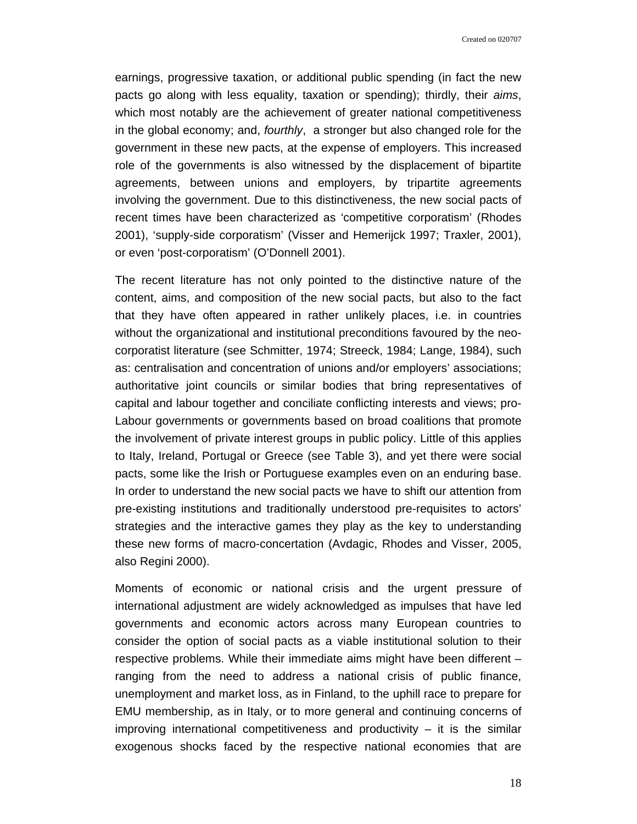Created on 020707

earnings, progressive taxation, or additional public spending (in fact the new pacts go along with less equality, taxation or spending); thirdly, their *aims*, which most notably are the achievement of greater national competitiveness in the global economy; and, *fourthly*, a stronger but also changed role for the government in these new pacts, at the expense of employers. This increased role of the governments is also witnessed by the displacement of bipartite agreements, between unions and employers, by tripartite agreements involving the government. Due to this distinctiveness, the new social pacts of recent times have been characterized as 'competitive corporatism' (Rhodes 2001), 'supply-side corporatism' (Visser and Hemerijck 1997; Traxler, 2001), or even 'post-corporatism' (O'Donnell 2001).

The recent literature has not only pointed to the distinctive nature of the content, aims, and composition of the new social pacts, but also to the fact that they have often appeared in rather unlikely places, i.e. in countries without the organizational and institutional preconditions favoured by the neocorporatist literature (see Schmitter, 1974; Streeck, 1984; Lange, 1984), such as: centralisation and concentration of unions and/or employers' associations; authoritative joint councils or similar bodies that bring representatives of capital and labour together and conciliate conflicting interests and views; pro-Labour governments or governments based on broad coalitions that promote the involvement of private interest groups in public policy. Little of this applies to Italy, Ireland, Portugal or Greece (see Table 3), and yet there were social pacts, some like the Irish or Portuguese examples even on an enduring base. In order to understand the new social pacts we have to shift our attention from pre-existing institutions and traditionally understood pre-requisites to actors' strategies and the interactive games they play as the key to understanding these new forms of macro-concertation (Avdagic, Rhodes and Visser, 2005, also Regini 2000).

Moments of economic or national crisis and the urgent pressure of international adjustment are widely acknowledged as impulses that have led governments and economic actors across many European countries to consider the option of social pacts as a viable institutional solution to their respective problems. While their immediate aims might have been different – ranging from the need to address a national crisis of public finance, unemployment and market loss, as in Finland, to the uphill race to prepare for EMU membership, as in Italy, or to more general and continuing concerns of improving international competitiveness and productivity  $-$  it is the similar exogenous shocks faced by the respective national economies that are

18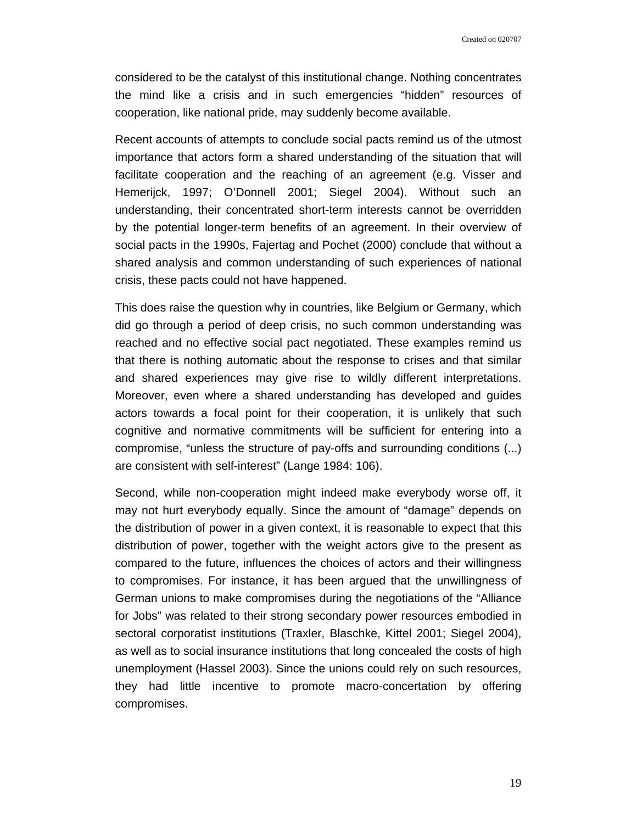considered to be the catalyst of this institutional change. Nothing concentrates the mind like a crisis and in such emergencies "hidden" resources of cooperation, like national pride, may suddenly become available.

Recent accounts of attempts to conclude social pacts remind us of the utmost importance that actors form a shared understanding of the situation that will facilitate cooperation and the reaching of an agreement (e.g. Visser and Hemerijck, 1997; O'Donnell 2001; Siegel 2004). Without such an understanding, their concentrated short-term interests cannot be overridden by the potential longer-term benefits of an agreement. In their overview of social pacts in the 1990s, Fajertag and Pochet (2000) conclude that without a shared analysis and common understanding of such experiences of national crisis, these pacts could not have happened.

This does raise the question why in countries, like Belgium or Germany, which did go through a period of deep crisis, no such common understanding was reached and no effective social pact negotiated. These examples remind us that there is nothing automatic about the response to crises and that similar and shared experiences may give rise to wildly different interpretations. Moreover, even where a shared understanding has developed and guides actors towards a focal point for their cooperation, it is unlikely that such cognitive and normative commitments will be sufficient for entering into a compromise, "unless the structure of pay-offs and surrounding conditions (...) are consistent with self-interest" (Lange 1984: 106).

Second, while non-cooperation might indeed make everybody worse off, it may not hurt everybody equally. Since the amount of "damage" depends on the distribution of power in a given context, it is reasonable to expect that this distribution of power, together with the weight actors give to the present as compared to the future, influences the choices of actors and their willingness to compromises. For instance, it has been argued that the unwillingness of German unions to make compromises during the negotiations of the "Alliance for Jobs" was related to their strong secondary power resources embodied in sectoral corporatist institutions (Traxler, Blaschke, Kittel 2001; Siegel 2004), as well as to social insurance institutions that long concealed the costs of high unemployment (Hassel 2003). Since the unions could rely on such resources, they had little incentive to promote macro-concertation by offering compromises.